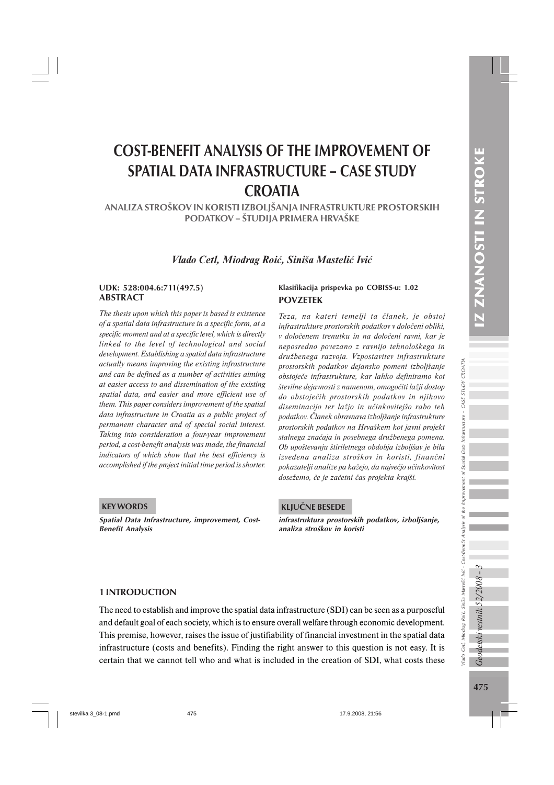# COST-BENEFIT ANALYSIS OF THE IMPROVEMENT OF SPATIAL DATA INFRASTRUCTURE – CASE STUDY **CROATIA**

ANALIZA STROŠKOV IN KORISTI IZBOLJŠANJA INFRASTRUKTURE PROSTORSKIH PODATKOV – ŠTUDIJA PRIMERA HRVAŠKE

*Vlado Cetl, Miodrag Roić, Siniša Mastelić Ivić*

# ABSTRACT

*The thesis upon which this paper is based is existence of a spatial data infrastructure in a specific form, at a specific moment and at a specific level, which is directly linked to the level of technological and social development. Establishing a spatial data infrastructure actually means improving the existing infrastructure and can be defined as a number of activities aiming at easier access to and dissemination of the existing spatial data, and easier and more efficient use of them. This paper considers improvement of the spatial data infrastructure in Croatia as a public project of permanent character and of special social interest. Taking into consideration a four-year improvement period, a cost-benefit analysis was made, the financial indicators of which show that the best efficiency is accomplished if the project initial time period is shorter.*

### POVZETEK UDK: 528:004.6:711(497.5) Klasifikacija prispevka po COBISS-u: 1.02

*Teza, na kateri temelji ta članek, je obstoj infrastrukture prostorskih podatkov v določeni obliki, v določenem trenutku in na določeni ravni, kar je neposredno povezano z ravnijo tehnološkega in družbenega razvoja. Vzpostavitev infrastrukture prostorskih podatkov dejansko pomeni izboljšanje obstoječe infrastrukture, kar lahko definiramo kot številne dejavnosti z namenom, omogočiti lažji dostop do obstoječih prostorskih podatkov in njihovo diseminacijo ter lažjo in učinkovitejšo rabo teh podatkov. Članek obravnava izboljšanje infrastrukture prostorskih podatkov na Hrvaškem kot javni projekt stalnega značaja in posebnega družbenega pomena. Ob upoštevanju štiriletnega obdobja izboljšav je bila izvedena analiza stroškov in koristi, finančni pokazatelji analize pa kažejo, da največjo učinkovitost dosežemo, če je začetni čas projekta krajši.*

#### KEY WORDS

Spatial Data Infrastructure, improvement, Cost-Benefit Analysis

#### KLJUČNE BESEDE

infrastruktura prostorskih podatkov, izboljšanje, analiza stroškov in koristi

#### 1 INTRODUCTION

The need to establish and improve the spatial data infrastructure (SDI) can be seen as a purposeful and default goal of each society, which is to ensure overall welfare through economic development. This premise, however, raises the issue of justifiability of financial investment in the spatial data infrastructure (costs and benefits). Finding the right answer to this question is not easy. It is certain that we cannot tell who and what is included in the creation of SDI, what costs these

Geodetski vestnik 52/2008 - .

Vlado Cetl, Miodrag Roić, Siniša Mastelić Ivić - Cost-Benefit Analysis of the Improvement of Spatial Data Infrastructure – CASE STUDY CROATIA

'lado Cetl, Miodrag Roić, Siniša Mastelić Ivić - Cost-Benefit Analysis

of the Improvement of

CROATIA

- CASE STUDY

Infrastructure

Spatial Data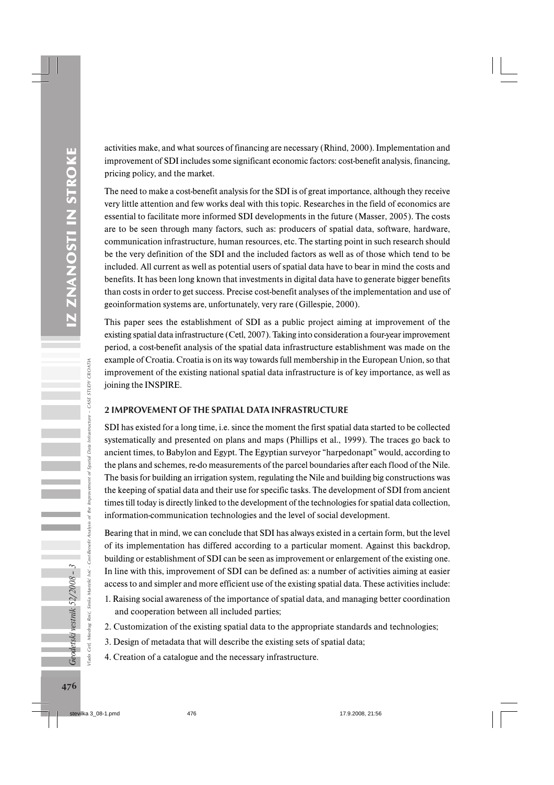activities make, and what sources of financing are necessary (Rhind, 2000). Implementation and improvement of SDI includes some significant economic factors: cost-benefit analysis, financing, pricing policy, and the market.

The need to make a cost-benefit analysis for the SDI is of great importance, although they receive very little attention and few works deal with this topic. Researches in the field of economics are essential to facilitate more informed SDI developments in the future (Masser, 2005). The costs are to be seen through many factors, such as: producers of spatial data, software, hardware, communication infrastructure, human resources, etc. The starting point in such research should be the very definition of the SDI and the included factors as well as of those which tend to be included. All current as well as potential users of spatial data have to bear in mind the costs and benefits. It has been long known that investments in digital data have to generate bigger benefits than costs in order to get success. Precise cost-benefit analyses of the implementation and use of geoinformation systems are, unfortunately, very rare (Gillespie, 2000).

This paper sees the establishment of SDI as a public project aiming at improvement of the existing spatial data infrastructure (Cetl, 2007). Taking into consideration a four-year improvement period, a cost-benefit analysis of the spatial data infrastructure establishment was made on the example of Croatia. Croatia is on its way towards full membership in the European Union, so that improvement of the existing national spatial data infrastructure is of key importance, as well as joining the INSPIRE.

## 2 IMPROVEMENT OF THE SPATIAL DATA INFRASTRUCTURE

SDI has existed for a long time, i.e. since the moment the first spatial data started to be collected systematically and presented on plans and maps (Phillips et al., 1999). The traces go back to ancient times, to Babylon and Egypt. The Egyptian surveyor "harpedonapt" would, according to the plans and schemes, re-do measurements of the parcel boundaries after each flood of the Nile. The basis for building an irrigation system, regulating the Nile and building big constructions was the keeping of spatial data and their use for specific tasks. The development of SDI from ancient times till today is directly linked to the development of the technologies for spatial data collection, information-communication technologies and the level of social development.

Bearing that in mind, we can conclude that SDI has always existed in a certain form, but the level of its implementation has differed according to a particular moment. Against this backdrop, building or establishment of SDI can be seen as improvement or enlargement of the existing one. In line with this, improvement of SDI can be defined as: a number of activities aiming at easier access to and simpler and more efficient use of the existing spatial data. These activities include:

- 1. Raising social awareness of the importance of spatial data, and managing better coordination and cooperation between all included parties;
- 2. Customization of the existing spatial data to the appropriate standards and technologies;
- 3. Design of metadata that will describe the existing sets of spatial data;
- 4. Creation of a catalogue and the necessary infrastructure.

Geodetski vestnik 52/2008 - 3

Vlado Cetl, Miodrag Roić, Siniša Mastelić Ivić - Cost-Benefit Analysis of the Improvement of Spatial Data Infrastructure – CASE STUDY CROATIA

Analysis

Cost-Benefit

Siniša Mastelić Ivić

Roić. Miodrag

ado

Spatial Data Infrastructure - CASE STUDY CROATIA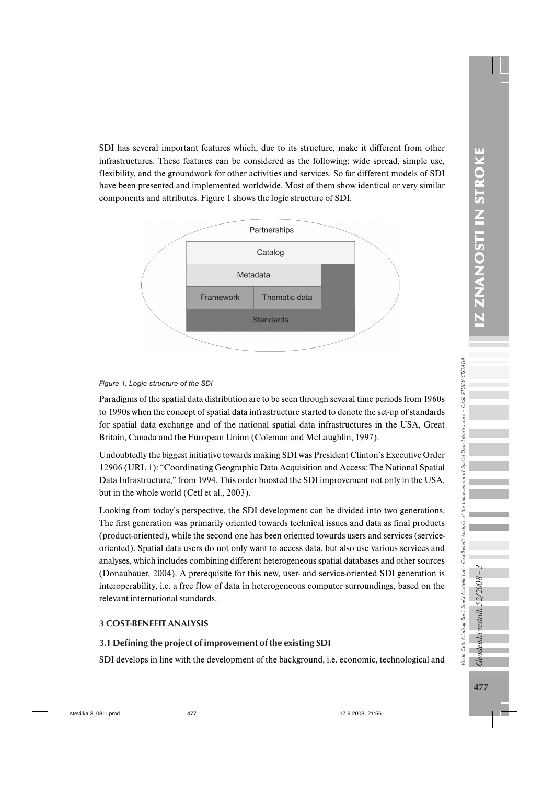SDI has several important features which, due to its structure, make it different from other infrastructures. These features can be considered as the following: wide spread, simple use, flexibility, and the groundwork for other activities and services. So far different models of SDI have been presented and implemented worldwide. Most of them show identical or very similar components and attributes. Figure 1 shows the logic structure of SDI.





Paradigms of the spatial data distribution are to be seen through several time periods from 1960s to 1990s when the concept of spatial data infrastructure started to denote the set-up of standards for spatial data exchange and of the national spatial data infrastructures in the USA, Great Britain, Canada and the European Union (Coleman and McLaughlin, 1997).

Undoubtedly the biggest initiative towards making SDI was President Clinton's Executive Order 12906 (URL 1): "Coordinating Geographic Data Acquisition and Access: The National Spatial Data Infrastructure," from 1994. This order boosted the SDI improvement not only in the USA, but in the whole world (Cetl et al., 2003).

Looking from today's perspective, the SDI development can be divided into two generations. The first generation was primarily oriented towards technical issues and data as final products (product-oriented), while the second one has been oriented towards users and services (serviceoriented). Spatial data users do not only want to access data, but also use various services and analyses, which includes combining different heterogeneous spatial databases and other sources (Donaubauer, 2004). A prerequisite for this new, user- and service-oriented SDI generation is interoperability, i.e. a free flow of data in heterogeneous computer surroundings, based on the relevant international standards.

## 3 COST-BENEFIT ANALYSIS

## 3.1 Defining the project of improvement of the existing SDI

SDI develops in line with the development of the background, i.e. economic, technological and

Geodetski vestnik 52/2008 - .

Vlado Cetl, Miodrag Roić, Siniša Mastelić Ivić - Cost-Benefit Analysis of the Improvement of Spatial Data Infrastructure – CASE STUDY CROATIA

ľado Cetl, Miodrag Roić, Siniša Mastelić Ivić - Cost-Benefit Analysis

Improve of the 1

- CASE STUDY CROATIA

Spatial Data Infrastructure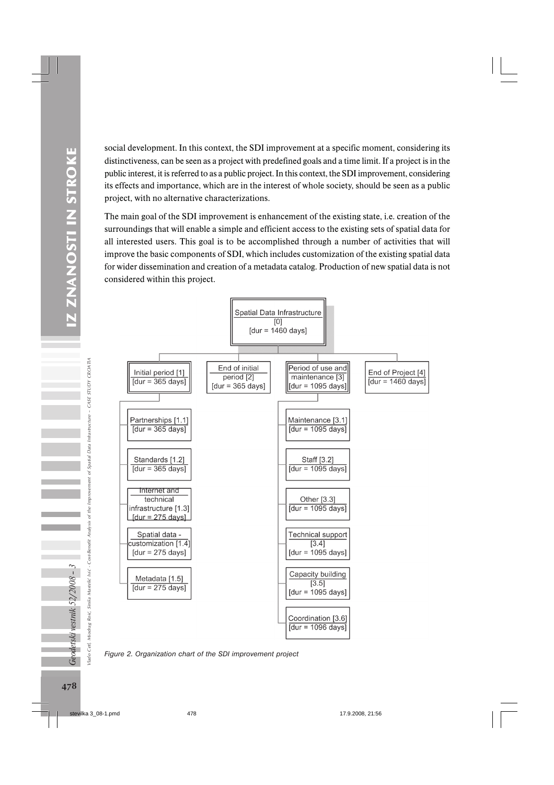social development. In this context, the SDI improvement at a specific moment, considering its distinctiveness, can be seen as a project with predefined goals and a time limit. If a project is in the public interest, it is referred to as a public project. In this context, the SDI improvement, considering its effects and importance, which are in the interest of whole society, should be seen as a public project, with no alternative characterizations.

The main goal of the SDI improvement is enhancement of the existing state, i.e. creation of the surroundings that will enable a simple and efficient access to the existing sets of spatial data for all interested users. This goal is to be accomplished through a number of activities that will improve the basic components of SDI, which includes customization of the existing spatial data for wider dissemination and creation of a metadata catalog. Production of new spatial data is not considered within this project.



*Figure 2. Organization chart of the SDI improvement project*

Geodetski vestnik 52/2008 - 3 Cetl, Miodrag Roić, Siniša Mastelić Ivić

Vlado Cetl, Miodrag Roić, Siniša Mastelić Ivić - Cost-Benefit Analysis of the Improvement of Spatial Data Infrastructure – CASE STUDY CROATIA

of the

Cost-Benefit Analysis

CASE STUDY CROATIA

Infrastructure -

of Spatial Data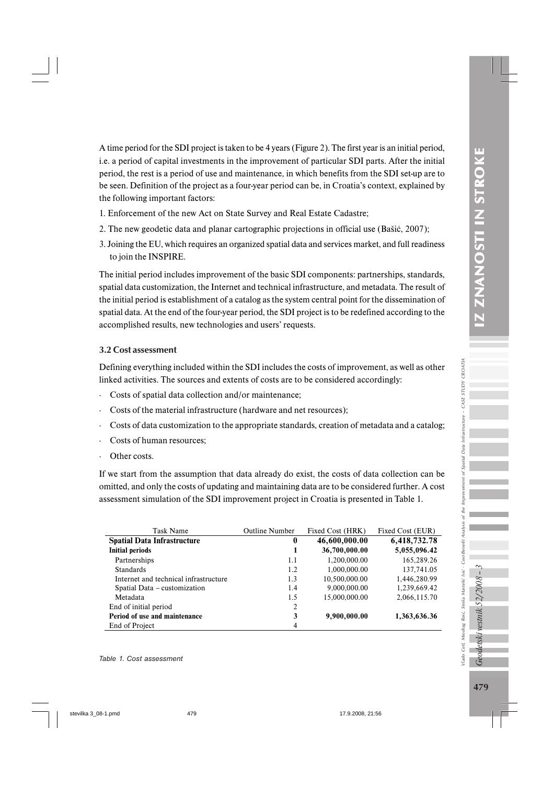A time period for the SDI project is taken to be 4 years (Figure 2). The first year is an initial period, i.e. a period of capital investments in the improvement of particular SDI parts. After the initial period, the rest is a period of use and maintenance, in which benefits from the SDI set-up are to be seen. Definition of the project as a four-year period can be, in Croatia's context, explained by the following important factors:

- 1. Enforcement of the new Act on State Survey and Real Estate Cadastre;
- 2. The new geodetic data and planar cartographic projections in official use (Bašić, 2007);
- 3. Joining the EU, which requires an organized spatial data and services market, and full readiness to join the INSPIRE.

The initial period includes improvement of the basic SDI components: partnerships, standards, spatial data customization, the Internet and technical infrastructure, and metadata. The result of the initial period is establishment of a catalog as the system central point for the dissemination of spatial data. At the end of the four-year period, the SDI project is to be redefined according to the accomplished results, new technologies and users' requests.

### 3.2 Cost assessment

Defining everything included within the SDI includes the costs of improvement, as well as other linked activities. The sources and extents of costs are to be considered accordingly:

- · Costs of spatial data collection and/or maintenance;
- Costs of the material infrastructure (hardware and net resources):
- Costs of data customization to the appropriate standards, creation of metadata and a catalog;
- Costs of human resources:
- Other costs.

If we start from the assumption that data already do exist, the costs of data collection can be omitted, and only the costs of updating and maintaining data are to be considered further. A cost assessment simulation of the SDI improvement project in Croatia is presented in Table 1.

| Task Name                             | <b>Outline Number</b> | Fixed Cost (HRK) | Fixed Cost (EUR) |
|---------------------------------------|-----------------------|------------------|------------------|
| <b>Spatial Data Infrastructure</b>    | 0                     | 46,600,000.00    | 6,418,732.78     |
| <b>Initial periods</b>                | 1                     | 36,700,000.00    | 5,055,096.42     |
| Partnerships                          | 1.1                   | 1,200,000.00     | 165,289.26       |
| <b>Standards</b>                      | 1.2                   | 1,000,000.00     | 137,741.05       |
| Internet and technical infrastructure | 1.3                   | 10.500.000.00    | 1.446.280.99     |
| Spatial Data – customization          | 1.4                   | 9,000,000.00     | 1,239,669.42     |
| Metadata                              | 1.5                   | 15,000,000.00    | 2,066,115.70     |
| End of initial period                 | $\overline{2}$        |                  |                  |
| Period of use and maintenance         | 3                     | 9,900,000.00     | 1,363,636.36     |
| End of Project                        | 4                     |                  |                  |

 $7e$ 

detski vestnik 52/2008

Vlado Cetl, Miodrag Roić, Siniša Mastelić Ivić - Cost-Benefit Analysis of the Improvement of Spatial Data Infrastructure – CASE STUDY CROATIA

flado Cetl, Miodrag Roić, Siniša Mastelić Ivić - Cost-Benefit Analysis

vorduy the ð.

**CROATIA** 

- CASE STUDY

of Spatial Data Infrastructure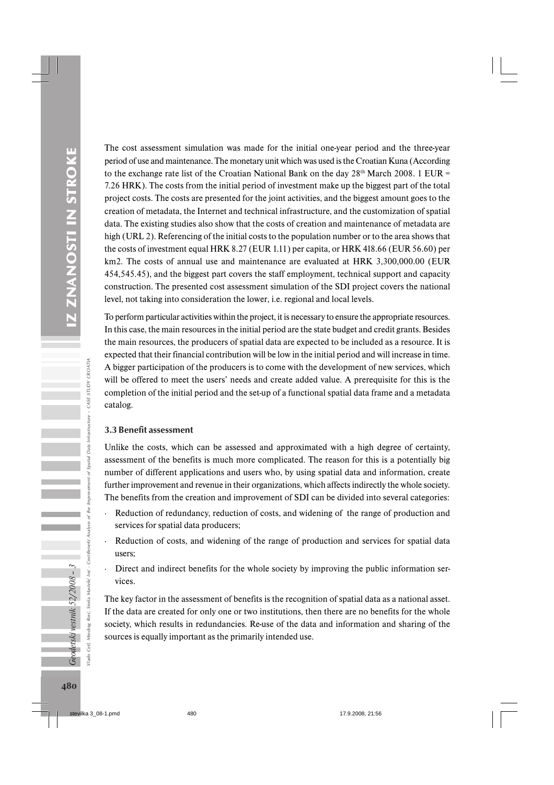The cost assessment simulation was made for the initial one-year period and the three-year period of use and maintenance. The monetary unit which was used is the Croatian Kuna (According to the exchange rate list of the Croatian National Bank on the day  $28<sup>th</sup>$  March 2008. 1 EUR = 7.26 HRK). The costs from the initial period of investment make up the biggest part of the total project costs. The costs are presented for the joint activities, and the biggest amount goes to the creation of metadata, the Internet and technical infrastructure, and the customization of spatial data. The existing studies also show that the costs of creation and maintenance of metadata are high (URL 2). Referencing of the initial costs to the population number or to the area shows that the costs of investment equal HRK 8.27 (EUR 1.11) per capita, or HRK 418.66 (EUR 56.60) per km2. The costs of annual use and maintenance are evaluated at HRK 3,300,000.00 (EUR 454,545.45), and the biggest part covers the staff employment, technical support and capacity construction. The presented cost assessment simulation of the SDI project covers the national level, not taking into consideration the lower, i.e. regional and local levels.

To perform particular activities within the project, it is necessary to ensure the appropriate resources. In this case, the main resources in the initial period are the state budget and credit grants. Besides the main resources, the producers of spatial data are expected to be included as a resource. It is expected that their financial contribution will be low in the initial period and will increase in time. A bigger participation of the producers is to come with the development of new services, which will be offered to meet the users' needs and create added value. A prerequisite for this is the completion of the initial period and the set-up of a functional spatial data frame and a metadata catalog.

#### 3.3 Benefit assessment

Unlike the costs, which can be assessed and approximated with a high degree of certainty, assessment of the benefits is much more complicated. The reason for this is a potentially big number of different applications and users who, by using spatial data and information, create further improvement and revenue in their organizations, which affects indirectly the whole society. The benefits from the creation and improvement of SDI can be divided into several categories:

- Reduction of redundancy, reduction of costs, and widening of the range of production and services for spatial data producers;
- Reduction of costs, and widening of the range of production and services for spatial data users;
- Direct and indirect benefits for the whole society by improving the public information services.

The key factor in the assessment of benefits is the recognition of spatial data as a national asset. If the data are created for only one or two institutions, then there are no benefits for the whole society, which results in redundancies. Re-use of the data and information and sharing of the sources is equally important as the primarily intended use.

Vlado Cetl, Miodrag Roić, Siniša Mastelić Ivić - Cost-Benefit Analysis of the Improvement of Spatial Data Infrastructure – CASE STUDY CROATIA

of the

Cost-Benefit Analysis

Siniša Mastelić Ivić

Roić

 $\theta$ 

 $-$  CASE STUDY CROATI/

of Spatial Data Infrastructure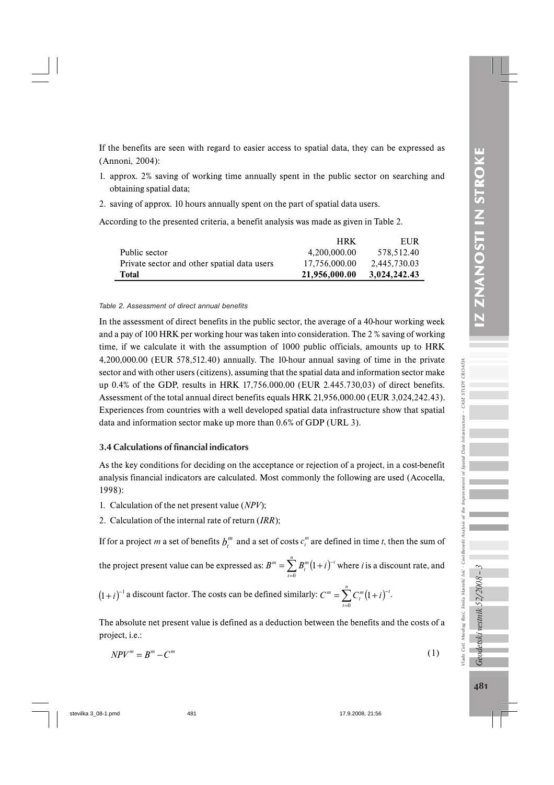If the benefits are seen with regard to easier access to spatial data, they can be expressed as (Annoni, 2004):

- 1. approx. 2% saving of working time annually spent in the public sector on searching and obtaining spatial data;
- 2. saving of approx. 10 hours annually spent on the part of spatial data users.

According to the presented criteria, a benefit analysis was made as given in Table 2.

|                                             | <b>HRK</b>    | EUR          |
|---------------------------------------------|---------------|--------------|
| Public sector                               | 4.200.000.00  | 578.512.40   |
| Private sector and other spatial data users | 17.756,000.00 | 2.445.730.03 |
| <b>Total</b>                                | 21,956,000.00 | 3,024,242.43 |

#### *Table 2. Assessment of direct annual benefits*

In the assessment of direct benefits in the public sector, the average of a 40-hour working week and a pay of 100 HRK per working hour was taken into consideration. The 2 % saving of working time, if we calculate it with the assumption of 1000 public officials, amounts up to HRK 4,200,000.00 (EUR 578,512.40) annually. The 10-hour annual saving of time in the private sector and with other users (citizens), assuming that the spatial data and information sector make up 0.4% of the GDP, results in HRK 17,756.000.00 (EUR 2.445.730,03) of direct benefits. Assessment of the total annual direct benefits equals HRK 21,956,000.00 (EUR 3,024,242.43). Experiences from countries with a well developed spatial data infrastructure show that spatial data and information sector make up more than 0.6% of GDP (URL 3).

## 3.4 Calculations of financial indicators

As the key conditions for deciding on the acceptance or rejection of a project, in a cost-benefit analysis financial indicators are calculated. Most commonly the following are used (Acocella, 1998):

- 1. Calculation of the net present value (*NPV*);
- 2. Calculation of the internal rate of return (*IRR*);

If for a project *m* a set of benefits  $b_t^m$  and a set of costs  $c_t^m$  are defined in time *t*, then the sum of

the project present value can be expressed as:  $B^m = \sum_{t=0}^n B_t^m (1 + i)^{-t}$ *t*  $B^m = \sum B_i^m (1+i)^{-t}$ 0  $(1+i)^{-t}$  where *i* is a discount rate, and

 $(1+i)^{-1}$  a discount factor. The costs can be defined similarly:  $C^m = \sum_{i=0}^n C_i^m (1+i)^{-1}$ *t*  $C^m = \sum C_i^m (1+i)^{-t}$ 0  $(1+i)^{-t}$ .

The absolute net present value is defined as a deduction between the benefits and the costs of a project, i.e.:

$$
NPV^m = B^m - C^m \tag{1}
$$

*Geodetski vestnik 52/2008 - 3* 

Vlado Cetl, Miodrag Roić, Siniša Mastelić Ivić - Cost-Benefit Analysis of the Improvement of Spatial Data Infrastructure – CASE STUDY CROATIA

flado Cetl, Miodrag Roić, Siniša Mastelić Ivić - Cost-Benefit Analysis

the Improv

CROATIA

- CASE STUDY

Spatial Data Infrastructure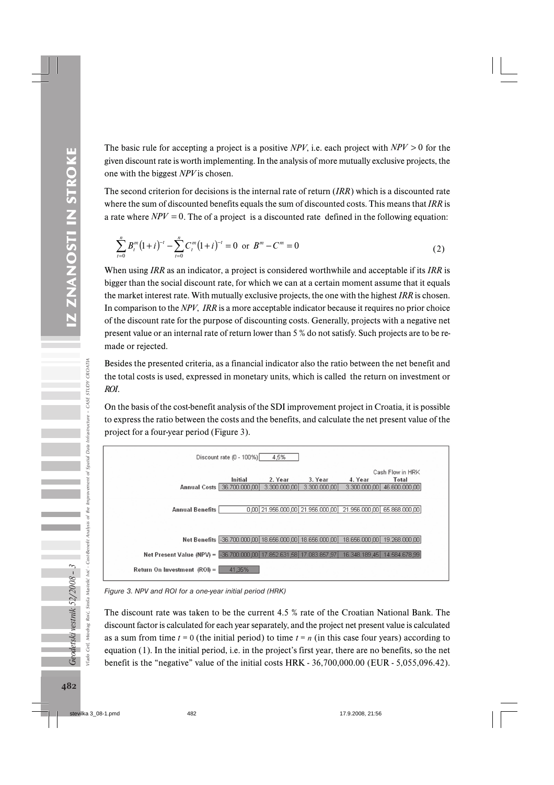The basic rule for accepting a project is a positive *NPV*, i.e. each project with *NPV* > 0 for the given discount rate is worth implementing. In the analysis of more mutually exclusive projects, the one with the biggest *NPV* is chosen.

The second criterion for decisions is the internal rate of return (*IRR*) which is a discounted rate where the sum of discounted benefits equals the sum of discounted costs. This means that *IRR* is a rate where  $NPV = 0$ . The of a project is a discounted rate defined in the following equation:

$$
\sum_{t=0}^{n} B_t^m (1+i)^{-t} - \sum_{t=0}^{n} C_t^m (1+i)^{-t} = 0 \text{ or } B^m - C^m = 0
$$
 (2)

When using *IRR* as an indicator, a project is considered worthwhile and acceptable if its *IRR* is bigger than the social discount rate, for which we can at a certain moment assume that it equals the market interest rate. With mutually exclusive projects, the one with the highest *IRR* is chosen. In comparison to the *NPV*, *IRR* is a more acceptable indicator because it requires no prior choice of the discount rate for the purpose of discounting costs. Generally, projects with a negative net present value or an internal rate of return lower than 5 % do not satisfy. Such projects are to be remade or rejected.

Besides the presented criteria, as a financial indicator also the ratio between the net benefit and the total costs is used, expressed in monetary units, which is called the return on investment or *ROI*.

On the basis of the cost-benefit analysis of the SDI improvement project in Croatia, it is possible to express the ratio between the costs and the benefits, and calculate the net present value of the project for a four-year period (Figure 3).



*Figure 3. NPV and ROI for a one-year initial period (HRK)*

The discount rate was taken to be the current 4.5 % rate of the Croatian National Bank. The discount factor is calculated for each year separately, and the project net present value is calculated as a sum from time  $t = 0$  (the initial period) to time  $t = n$  (in this case four years) according to equation (1). In the initial period, i.e. in the project's first year, there are no benefits, so the net benefit is the "negative" value of the initial costs HRK - 36,700,000.00 (EUR - 5,055,096.42).

Geodetski vestnik 52/2008 - 3

Vlado Cetl, Miodrag Roić, Siniša Mastelić Ivić - Cost-Benefit Analysis of the Improvement of Spatial Data Infrastructure – CASE STUDY CROATIA

ď

Siniša Mastelić Ivić - Cost-Benefit Analysis

Poić,

the Improvement

of Spatial Data Infrastructure - CASE STUDY CROATIA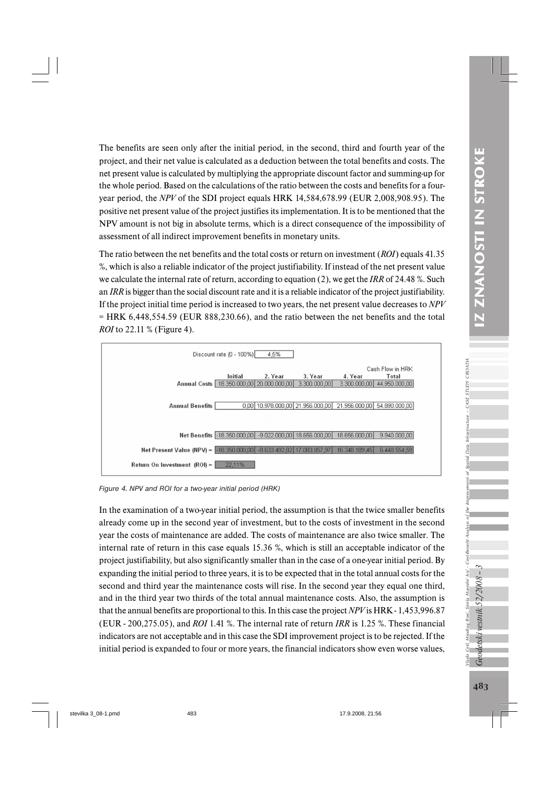The benefits are seen only after the initial period, in the second, third and fourth year of the project, and their net value is calculated as a deduction between the total benefits and costs. The net present value is calculated by multiplying the appropriate discount factor and summing-up for the whole period. Based on the calculations of the ratio between the costs and benefits for a fouryear period, the *NPV* of the SDI project equals HRK 14,584,678.99 (EUR 2,008,908.95). The positive net present value of the project justifies its implementation. It is to be mentioned that the NPV amount is not big in absolute terms, which is a direct consequence of the impossibility of assessment of all indirect improvement benefits in monetary units.

The ratio between the net benefits and the total costs or return on investment (*ROI*) equals 41.35 %, which is also a reliable indicator of the project justifiability. If instead of the net present value we calculate the internal rate of return, according to equation (2), we get the *IRR* of 24.48 %. Such an *IRR* is bigger than the social discount rate and it is a reliable indicator of the project justifiability. If the project initial time period is increased to two years, the net present value decreases to *NPV* = HRK 6,448,554.59 (EUR 888,230.66), and the ratio between the net benefits and the total *ROI* to 22.11 % (Figure 4).



*Figure 4. NPV and ROI for a two-year initial period (HRK)*

In the examination of a two-year initial period, the assumption is that the twice smaller benefits already come up in the second year of investment, but to the costs of investment in the second year the costs of maintenance are added. The costs of maintenance are also twice smaller. The internal rate of return in this case equals 15.36 %, which is still an acceptable indicator of the project justifiability, but also significantly smaller than in the case of a one-year initial period. By expanding the initial period to three years, it is to be expected that in the total annual costs for the second and third year the maintenance costs will rise. In the second year they equal one third, and in the third year two thirds of the total annual maintenance costs. Also, the assumption is that the annual benefits are proportional to this. In this case the project *NPV* is HRK - 1,453,996.87 (EUR - 200,275.05), and *ROI* 1.41 %. The internal rate of return *IRR* is 1.25 %. These financial indicators are not acceptable and in this case the SDI improvement project is to be rejected. If the initial period is expanded to four or more years, the financial indicators show even worse values,

Geodetski vestnik 52/2008 - 5 Cetl, Miodrag Roić,

Vlado Cetl, Miodrag Roić, Siniša Mastelić Ivić - Cost-Benefit Analysis of the Improvement of Spatial Data Infrastructure – CASE STUDY CROATIA

Siniša Mastelić Ivić - Cost-Benefit Analysis

hado

 $-$  CASE STUDY CROATIA

Spatial Data Infrastructure

Ŕ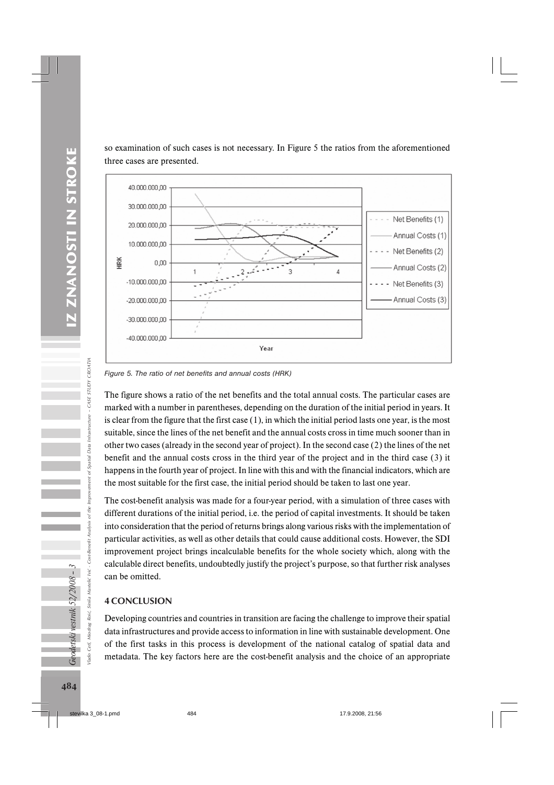so examination of such cases is not necessary. In Figure 5 the ratios from the aforementioned three cases are presented.



*Figure 5. The ratio of net benefits and annual costs (HRK)*

The figure shows a ratio of the net benefits and the total annual costs. The particular cases are marked with a number in parentheses, depending on the duration of the initial period in years. It is clear from the figure that the first case (1), in which the initial period lasts one year, is the most suitable, since the lines of the net benefit and the annual costs cross in time much sooner than in other two cases (already in the second year of project). In the second case (2) the lines of the net benefit and the annual costs cross in the third year of the project and in the third case (3) it happens in the fourth year of project. In line with this and with the financial indicators, which are the most suitable for the first case, the initial period should be taken to last one year.

The cost-benefit analysis was made for a four-year period, with a simulation of three cases with different durations of the initial period, i.e. the period of capital investments. It should be taken into consideration that the period of returns brings along various risks with the implementation of particular activities, as well as other details that could cause additional costs. However, the SDI improvement project brings incalculable benefits for the whole society which, along with the calculable direct benefits, undoubtedly justify the project's purpose, so that further risk analyses can be omitted.

## 4 CONCLUSION

Developing countries and countries in transition are facing the challenge to improve their spatial data infrastructures and provide access to information in line with sustainable development. One of the first tasks in this process is development of the national catalog of spatial data and metadata. The key factors here are the cost-benefit analysis and the choice of an appropriate

Geodetski vestnik 52/2008 - 3

Vlado Cetl, Miodrag Roić, Siniša Mastelić Ivić - Cost-Benefit Analysis of the Improvement of Spatial Data Infrastructure – CASE STUDY CROATIA

Cost-Benefit

Siniša Mastelić Ivić

Miodrag Roić,

Cetl, /lado

mprov of the

CROATIA

of Spatial Data Infrastructure - CASE STUDY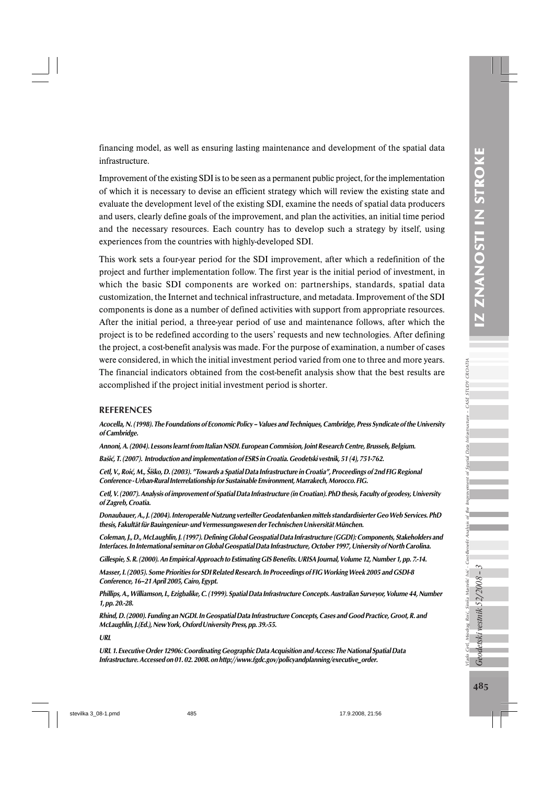the

financing model, as well as ensuring lasting maintenance and development of the spatial data infrastructure.

Improvement of the existing SDI is to be seen as a permanent public project, for the implementation of which it is necessary to devise an efficient strategy which will review the existing state and evaluate the development level of the existing SDI, examine the needs of spatial data producers and users, clearly define goals of the improvement, and plan the activities, an initial time period and the necessary resources. Each country has to develop such a strategy by itself, using experiences from the countries with highly-developed SDI.

This work sets a four-year period for the SDI improvement, after which a redefinition of the project and further implementation follow. The first year is the initial period of investment, in which the basic SDI components are worked on: partnerships, standards, spatial data customization, the Internet and technical infrastructure, and metadata. Improvement of the SDI components is done as a number of defined activities with support from appropriate resources. After the initial period, a three-year period of use and maintenance follows, after which the project is to be redefined according to the users' requests and new technologies. After defining the project, a cost-benefit analysis was made. For the purpose of examination, a number of cases were considered, in which the initial investment period varied from one to three and more years. The financial indicators obtained from the cost-benefit analysis show that the best results are accomplished if the project initial investment period is shorter.

#### REFERENCES

Acocella, N. (1998). The Foundations of Economic Policy – Values and Techniques, Cambridge, Press Syndicate of the University of Cambridge.

Annoni, A. (2004). Lessons learnt from Italian NSDI. European Commision, Joint Research Centre, Brussels, Belgium.

Bašić, T. (2007). Introduction and implementation of ESRS in Croatia. Geodetski vestnik, 51 (4), 751-762.

Cetl, V., Roić, M., Šiško, D. (2003). "Towards a Spatial Data Infrastructure in Croatia", Proceedings of 2nd FIG Regional Conference - Urban-Rural Interrelationship for Sustainable Environment, Marrakech, Morocco. FIG.

Cetl, V. (2007). Analysis of improvement of Spatial Data Infrastructure (in Croatian). PhD thesis, Faculty of geodesy, University of Zagreb, Croatia.

Donaubauer, A., J. (2004). Interoperable Nutzung verteilter Geodatenbanken mittels standardisierter Geo Web Services. PhD thesis, Fakultät für Bauingenieur- und Vermessungswesen der Technischen Universität München.

Coleman, J., D., McLaughlin, J. (1997). Defining Global Geospatial Data Infrastructure (GGDI): Components, Stakeholders and Interfaces. In International seminar on Global Geospatial Data Infrastructure, October 1997, University of North Carolina.

Gillespie, S. R. (2000). An Empirical Approach to Estimating GIS Benefits. URISA Journal, Volume 12, Number 1, pp. 7.-14.

Masser, I. (2005). Some Priorities for SDI Related Research. In Proceedings of FIG Working Week 2005 and GSDI-8 Conference, 16–21 April 2005, Cairo, Egypt.

Phillips, A., Williamson, I., Ezigbalike, C. (1999). Spatial Data Infrastructure Concepts. Australian Surveyor, Volume 44, Number 1, pp. 20.-28.

Rhind, D. (2000). Funding an NGDI. In Geospatial Data Infrastructure Concepts, Cases and Good Practice, Groot, R. and McLaughlin, J.(Ed.), New York, Oxford University Press, pp. 39.-55.

URL

URL 1. Executive Order 12906: Coordinating Geographic Data Acquisition and Access: The National Spatial Data Infrastructure. Accessed on 01. 02. 2008. on http://www.fgdc.gov/policyandplanning/executive\_order.